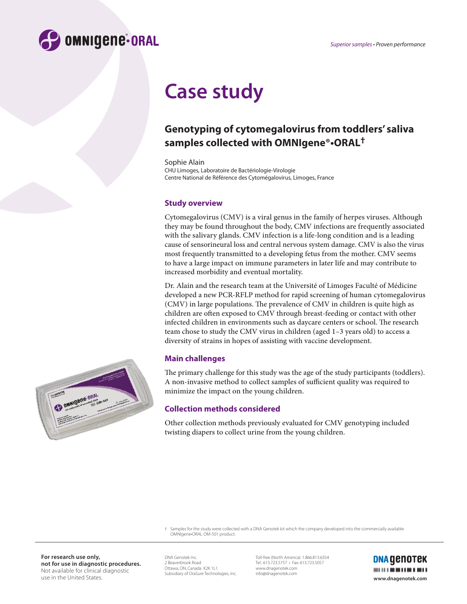

# **Case study**

## **Genotyping of cytomegalovirus from toddlers' saliva samples collected with OMNIgene®•ORAL†**

Sophie Alain CHU Limoges, Laboratoire de Bactériologie-Virologie Centre National de Référence des Cytomégalovirus, Limoges, France

### **Study overview**

Cytomegalovirus (CMV) is a viral genus in the family of herpes viruses. Although they may be found throughout the body, CMV infections are frequently associated with the salivary glands. CMV infection is a life-long condition and is a leading cause of sensorineural loss and central nervous system damage. CMV is also the virus most frequently transmitted to a developing fetus from the mother. CMV seems to have a large impact on immune parameters in later life and may contribute to increased morbidity and eventual mortality.

Dr. Alain and the research team at the Université of Limoges Faculté of Médicine developed a new PCR-RFLP method for rapid screening of human cytomegalovirus (CMV) in large populations. The prevalence of CMV in children is quite high as children are often exposed to CMV through breast-feeding or contact with other infected children in environments such as daycare centers or school. The research team chose to study the CMV virus in children (aged 1–3 years old) to access a diversity of strains in hopes of assisting with vaccine development.

### **Main challenges**

The primary challenge for this study was the age of the study participants (toddlers). A non-invasive method to collect samples of sufficient quality was required to minimize the impact on the young children.

### **Collection methods considered**

Other collection methods previously evaluated for CMV genotyping included twisting diapers to collect urine from the young children.

† Samples for the study were collected with a DNA Genotek kit which the company developed into the commercially available OMNIgene•ORAL OM-501 product.

**For research use only, not for use in diagnostic procedures.**  Not available for clinical diagnostic use in the United States.

DNA Genotek Inc. 2 Beaverbrook Road Ottawa, ON, Canada K2K 1L1 Subsidiary of OraSure Technologies, Inc.

Toll-free (North America): 1.866.813.6354 Tel.: 613.723.5757 • Fax: 613.723.5057 www.dnagenotek.com info@dnagenotek.com